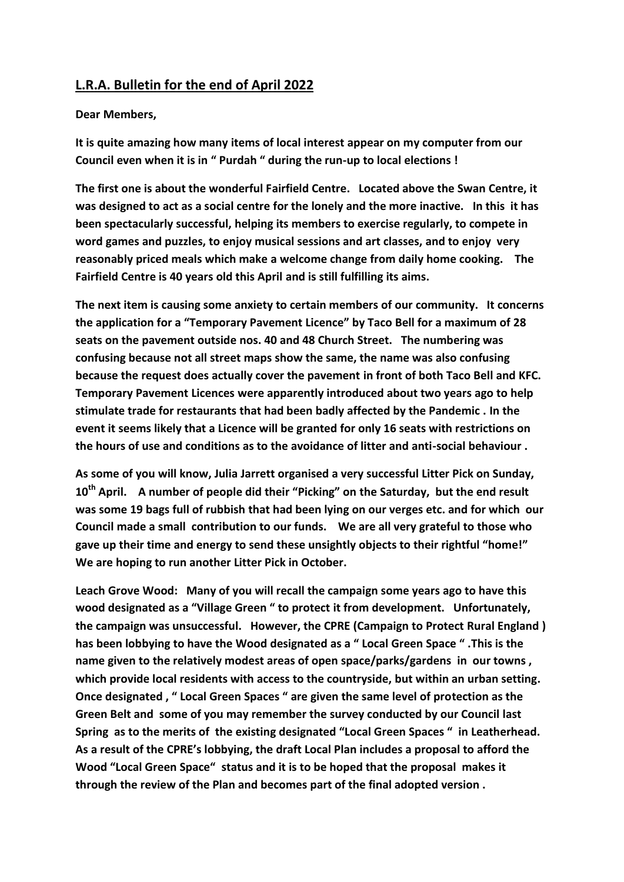## **L.R.A. Bulletin for the end of April 2022**

## **Dear Members,**

**It is quite amazing how many items of local interest appear on my computer from our Council even when it is in " Purdah " during the run-up to local elections !**

**The first one is about the wonderful Fairfield Centre. Located above the Swan Centre, it was designed to act as a social centre for the lonely and the more inactive. In this it has been spectacularly successful, helping its members to exercise regularly, to compete in word games and puzzles, to enjoy musical sessions and art classes, and to enjoy very reasonably priced meals which make a welcome change from daily home cooking. The Fairfield Centre is 40 years old this April and is still fulfilling its aims.**

**The next item is causing some anxiety to certain members of our community. It concerns the application for a "Temporary Pavement Licence" by Taco Bell for a maximum of 28 seats on the pavement outside nos. 40 and 48 Church Street. The numbering was confusing because not all street maps show the same, the name was also confusing because the request does actually cover the pavement in front of both Taco Bell and KFC. Temporary Pavement Licences were apparently introduced about two years ago to help stimulate trade for restaurants that had been badly affected by the Pandemic . In the event it seems likely that a Licence will be granted for only 16 seats with restrictions on the hours of use and conditions as to the avoidance of litter and anti-social behaviour .** 

**As some of you will know, Julia Jarrett organised a very successful Litter Pick on Sunday, 10th April. A number of people did their "Picking" on the Saturday, but the end result was some 19 bags full of rubbish that had been lying on our verges etc. and for which our Council made a small contribution to our funds. We are all very grateful to those who gave up their time and energy to send these unsightly objects to their rightful "home!" We are hoping to run another Litter Pick in October.**

**Leach Grove Wood: Many of you will recall the campaign some years ago to have this wood designated as a "Village Green " to protect it from development. Unfortunately, the campaign was unsuccessful. However, the CPRE (Campaign to Protect Rural England ) has been lobbying to have the Wood designated as a " Local Green Space " .This is the name given to the relatively modest areas of open space/parks/gardens in our towns , which provide local residents with access to the countryside, but within an urban setting. Once designated , " Local Green Spaces " are given the same level of protection as the Green Belt and some of you may remember the survey conducted by our Council last Spring as to the merits of the existing designated "Local Green Spaces " in Leatherhead. As a result of the CPRE's lobbying, the draft Local Plan includes a proposal to afford the Wood "Local Green Space" status and it is to be hoped that the proposal makes it through the review of the Plan and becomes part of the final adopted version .**